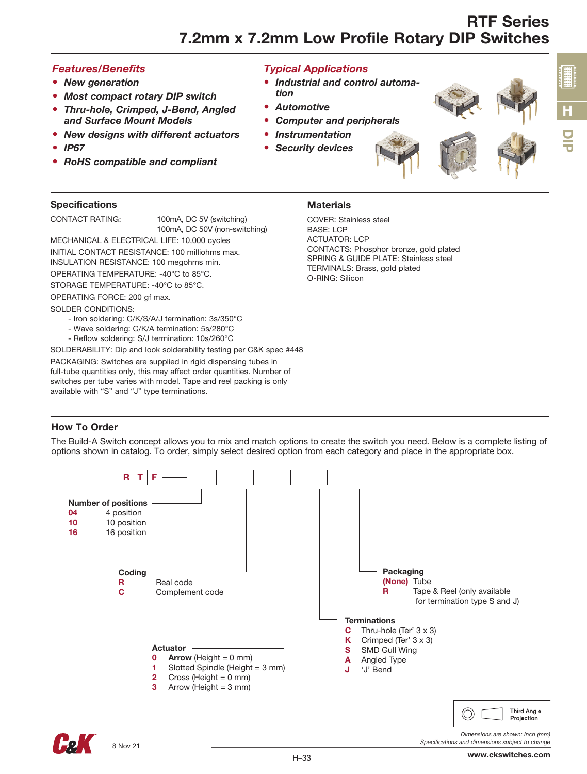• *Industrial and control automa-*

• *Computer and peripherals* 

#### *Features/Benefits*

- *New generation*
- *Most compact rotary DIP switch*
- *Thru-hole, Crimped, J-Bend, Angled and Surface Mount Models*
- *New designs with different actuators*
- *IP67*
- *RoHS compatible and compliant*

## **Specifications**

CONTACT RATING: 100mA, DC 5V (switching) 100mA, DC 50V (non-switching)

MECHANICAL & ELECTRICAL LIFE: 10,000 cycles INITIAL CONTACT RESISTANCE: 100 milliohms max.

INSULATION RESISTANCE: 100 megohms min. OPERATING TEMPERATURE: -40°C to 85°C.

STORAGE TEMPERATURE: -40°C to 85°C.

OPERATING FORCE: 200 gf max.

#### SOLDER CONDITIONS:

- Iron soldering: C/K/S/A/J termination: 3s/350°C
- Wave soldering: C/K/A termination: 5s/280°C
- Reflow soldering: S/J termination: 10s/260°C

SOLDERABILITY: Dip and look solderability testing per C&K spec #448

PACKAGING: Switches are supplied in rigid dispensing tubes in full-tube quantities only, this may affect order quantities. Number of switches per tube varies with model. Tape and reel packing is only available with "S" and "J" type terminations.

# **Materials**

*Typical Applications*

• *Instrumentation* • *Security devices*

*tion*

• *Automotive*

COVER: Stainless steel BASE: LCP ACTUATOR: LCP CONTACTS: Phosphor bronze, gold plated SPRING & GUIDE PLATE: Stainless steel TERMINALS: Brass, gold plated O-RING: Silicon

#### How To Order

The Build-A Switch concept allows you to mix and match options to create the switch you need. Below is a complete listing of options shown in catalog. To order, simply select desired option from each category and place in the appropriate box.



DIP

H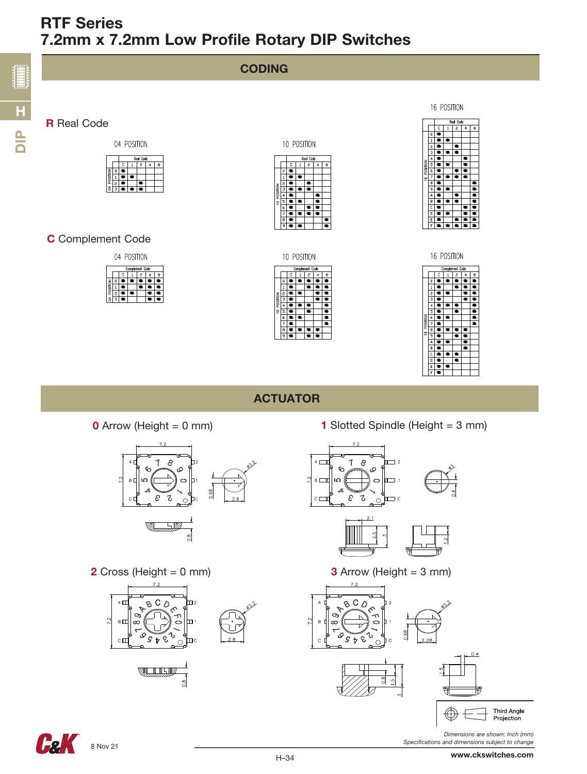



Ŧ



ACTUATOR



**2** Cross (Height = 0 mm)  $3$  Arrow (Height = 3 mm)



**0** Arrow (Height = 0 mm) **1** Slotted Spindle (Height = 3 mm)









*Specifications and dimensions subject to change*

**Feli**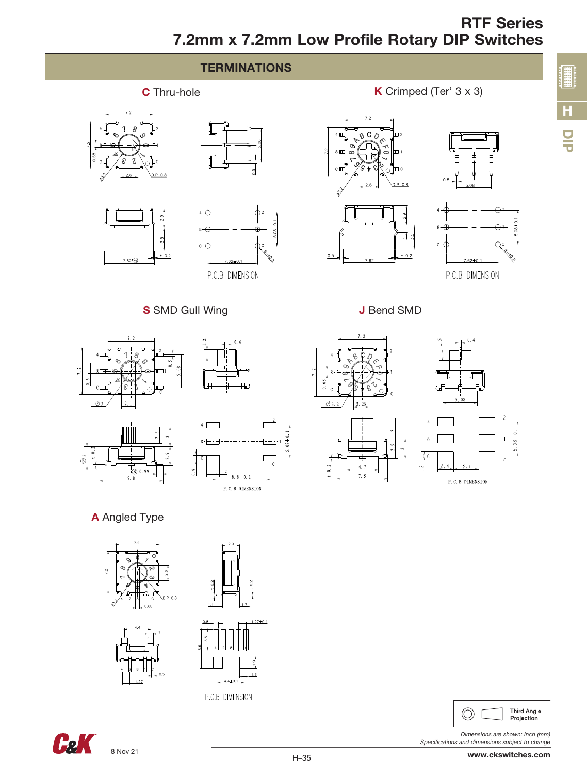



*Dimensions are shown: Inch (mm) Specifications and dimensions subject to change*

8 Nov 21

**Cak** 

P.C.B DIMENSION

H–35

D<br>U

H

**開封封建**